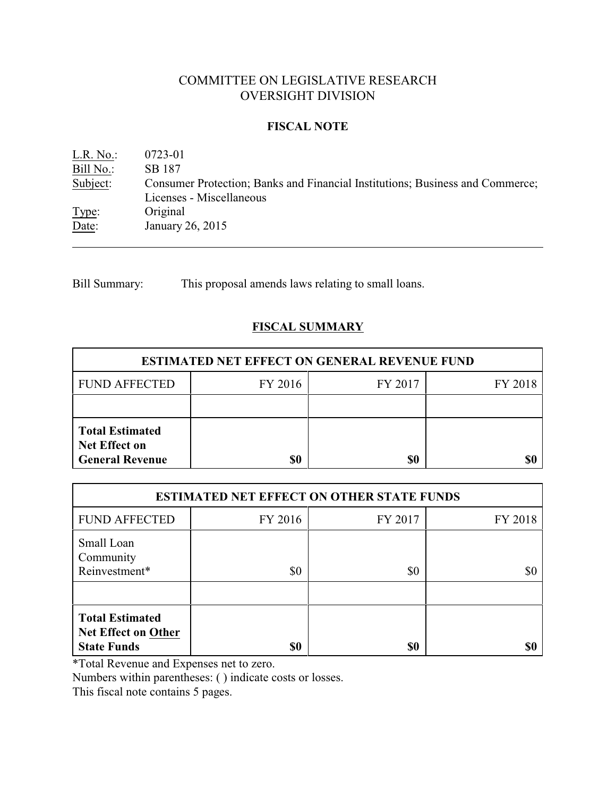# COMMITTEE ON LEGISLATIVE RESEARCH OVERSIGHT DIVISION

## **FISCAL NOTE**

L.R. No.: 0723-01 Bill No.: SB 187<br>Subject: Consum Consumer Protection; Banks and Financial Institutions; Business and Commerce; Licenses - Miscellaneous Type: Original Date: January 26, 2015

Bill Summary: This proposal amends laws relating to small loans.

# **FISCAL SUMMARY**

| <b>ESTIMATED NET EFFECT ON GENERAL REVENUE FUND</b>                      |         |         |         |  |
|--------------------------------------------------------------------------|---------|---------|---------|--|
| <b>FUND AFFECTED</b>                                                     | FY 2016 | FY 2017 | FY 2018 |  |
|                                                                          |         |         |         |  |
| <b>Total Estimated</b><br><b>Net Effect on</b><br><b>General Revenue</b> | \$0     | \$0     |         |  |

| <b>ESTIMATED NET EFFECT ON OTHER STATE FUNDS</b>                           |         |         |         |  |
|----------------------------------------------------------------------------|---------|---------|---------|--|
| <b>FUND AFFECTED</b>                                                       | FY 2016 | FY 2017 | FY 2018 |  |
| Small Loan<br>Community<br>Reinvestment*                                   | \$0     | \$0     | \$0     |  |
| <b>Total Estimated</b><br><b>Net Effect on Other</b><br><b>State Funds</b> | \$0     | \$0     | 80      |  |

\*Total Revenue and Expenses net to zero.

Numbers within parentheses: ( ) indicate costs or losses.

This fiscal note contains 5 pages.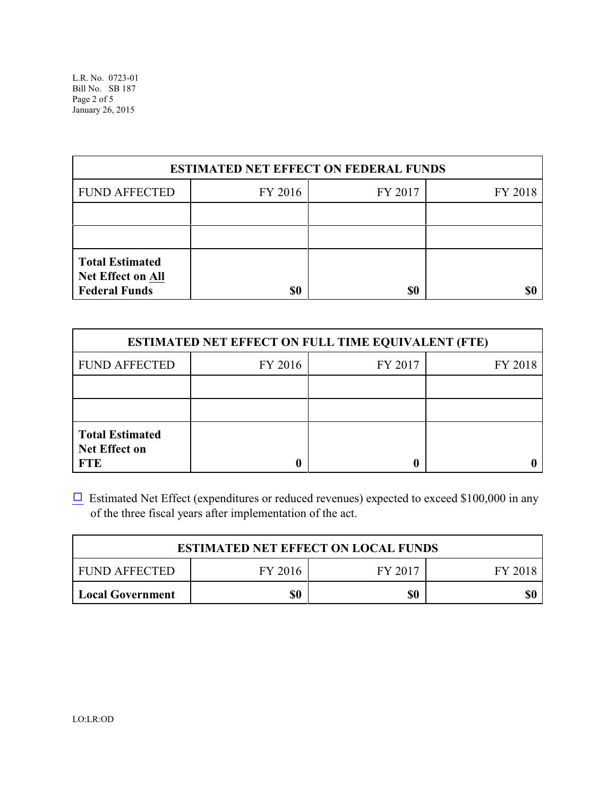| <b>ESTIMATED NET EFFECT ON FEDERAL FUNDS</b>                               |         |         |         |  |
|----------------------------------------------------------------------------|---------|---------|---------|--|
| <b>FUND AFFECTED</b>                                                       | FY 2016 | FY 2017 | FY 2018 |  |
|                                                                            |         |         |         |  |
|                                                                            |         |         |         |  |
| <b>Total Estimated</b><br><b>Net Effect on All</b><br><b>Federal Funds</b> | \$0     | \$0     |         |  |

| <b>ESTIMATED NET EFFECT ON FULL TIME EQUIVALENT (FTE)</b>    |         |         |         |  |
|--------------------------------------------------------------|---------|---------|---------|--|
| <b>FUND AFFECTED</b>                                         | FY 2016 | FY 2017 | FY 2018 |  |
|                                                              |         |         |         |  |
|                                                              |         |         |         |  |
| <b>Total Estimated</b><br><b>Net Effect on</b><br><b>FTE</b> |         |         |         |  |

 $\Box$  Estimated Net Effect (expenditures or reduced revenues) expected to exceed \$100,000 in any of the three fiscal years after implementation of the act.

| <b>ESTIMATED NET EFFECT ON LOCAL FUNDS</b> |         |         |         |  |
|--------------------------------------------|---------|---------|---------|--|
| FUND AFFECTED                              | FY 2016 | FY 2017 | FY 2018 |  |
| <b>Local Government</b>                    | \$0     | \$0     | \$0     |  |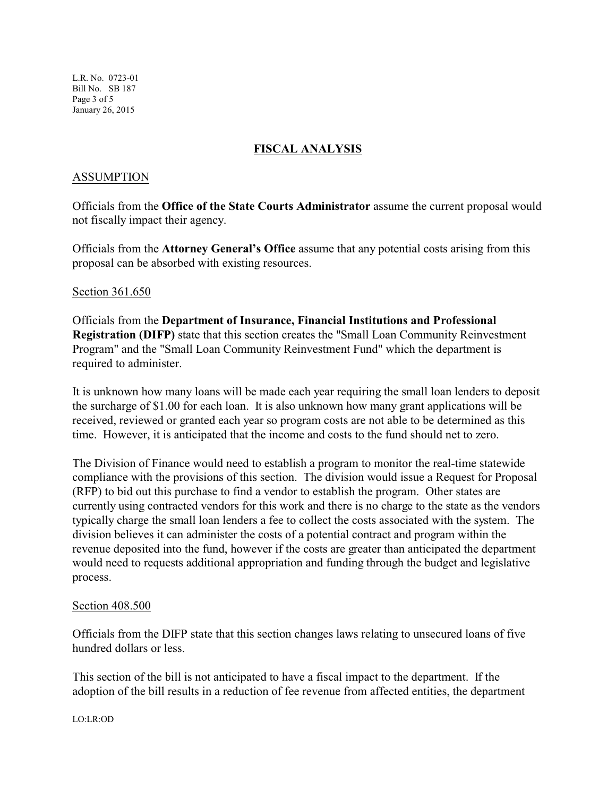L.R. No. 0723-01 Bill No. SB 187 Page 3 of 5 January 26, 2015

# **FISCAL ANALYSIS**

### ASSUMPTION

Officials from the **Office of the State Courts Administrator** assume the current proposal would not fiscally impact their agency.

Officials from the **Attorney General's Office** assume that any potential costs arising from this proposal can be absorbed with existing resources.

Section 361.650

Officials from the **Department of Insurance, Financial Institutions and Professional Registration (DIFP)** state that this section creates the "Small Loan Community Reinvestment Program" and the "Small Loan Community Reinvestment Fund" which the department is required to administer.

It is unknown how many loans will be made each year requiring the small loan lenders to deposit the surcharge of \$1.00 for each loan. It is also unknown how many grant applications will be received, reviewed or granted each year so program costs are not able to be determined as this time. However, it is anticipated that the income and costs to the fund should net to zero.

The Division of Finance would need to establish a program to monitor the real-time statewide compliance with the provisions of this section. The division would issue a Request for Proposal (RFP) to bid out this purchase to find a vendor to establish the program. Other states are currently using contracted vendors for this work and there is no charge to the state as the vendors typically charge the small loan lenders a fee to collect the costs associated with the system. The division believes it can administer the costs of a potential contract and program within the revenue deposited into the fund, however if the costs are greater than anticipated the department would need to requests additional appropriation and funding through the budget and legislative process.

#### Section 408.500

Officials from the DIFP state that this section changes laws relating to unsecured loans of five hundred dollars or less.

This section of the bill is not anticipated to have a fiscal impact to the department. If the adoption of the bill results in a reduction of fee revenue from affected entities, the department

LO:LR:OD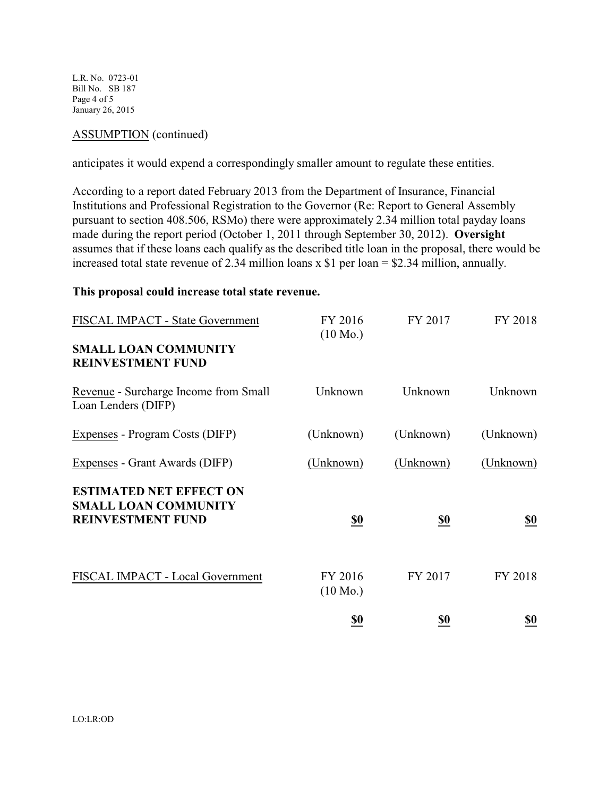L.R. No. 0723-01 Bill No. SB 187 Page 4 of 5 January 26, 2015

### ASSUMPTION (continued)

anticipates it would expend a correspondingly smaller amount to regulate these entities.

According to a report dated February 2013 from the Department of Insurance, Financial Institutions and Professional Registration to the Governor (Re: Report to General Assembly pursuant to section 408.506, RSMo) there were approximately 2.34 million total payday loans made during the report period (October 1, 2011 through September 30, 2012). **Oversight** assumes that if these loans each qualify as the described title loan in the proposal, there would be increased total state revenue of 2.34 million loans x \$1 per loan = \$2.34 million, annually.

#### **This proposal could increase total state revenue.**

| FISCAL IMPACT - State Government                              | FY 2016<br>$(10 \text{ Mo.})$ | FY 2017                       | FY 2018                       |
|---------------------------------------------------------------|-------------------------------|-------------------------------|-------------------------------|
| <b>SMALL LOAN COMMUNITY</b><br><b>REINVESTMENT FUND</b>       |                               |                               |                               |
| Revenue - Surcharge Income from Small<br>Loan Lenders (DIFP)  | Unknown                       | Unknown                       | Unknown                       |
| Expenses - Program Costs (DIFP)                               | (Unknown)                     | (Unknown)                     | (Unknown)                     |
| Expenses - Grant Awards (DIFP)                                | (Unknown)                     | (Unknown)                     | (Unknown)                     |
| <b>ESTIMATED NET EFFECT ON</b><br><b>SMALL LOAN COMMUNITY</b> |                               |                               |                               |
| <b>REINVESTMENT FUND</b>                                      | <u>\$0</u>                    | $\underline{\underline{\$0}}$ | $\underline{\underline{\$0}}$ |
| FISCAL IMPACT - Local Government                              | FY 2016<br>$(10 \text{ Mo.})$ | FY 2017                       | FY 2018                       |
|                                                               | <u>\$0</u>                    | <u>so</u>                     | <u>\$0</u>                    |